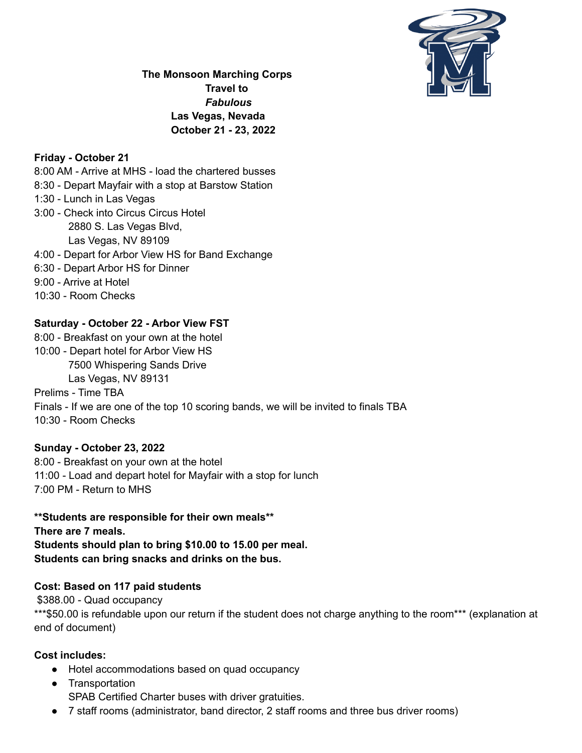

**The Monsoon Marching Corps Travel to** *Fabulous* **Las Vegas, Nevada October 21 - 23, 2022**

### **Friday - October 21**

8:00 AM - Arrive at MHS - load the chartered busses 8:30 - Depart Mayfair with a stop at Barstow Station 1:30 - Lunch in Las Vegas 3:00 - Check into Circus Circus Hotel 2880 S. Las Vegas Blvd, Las Vegas, NV 89109 4:00 - Depart for Arbor View HS for Band Exchange 6:30 - Depart Arbor HS for Dinner 9:00 - Arrive at Hotel 10:30 - Room Checks

# **Saturday - October 22 - Arbor View FST**

8:00 - Breakfast on your own at the hotel 10:00 - Depart hotel for Arbor View HS 7500 Whispering Sands Drive Las Vegas, NV 89131 Prelims - Time TBA Finals - If we are one of the top 10 scoring bands, we will be invited to finals TBA 10:30 - Room Checks

## **Sunday - October 23, 2022**

8:00 - Breakfast on your own at the hotel 11:00 - Load and depart hotel for Mayfair with a stop for lunch 7:00 PM - Return to MHS

**\*\*Students are responsible for their own meals\*\* There are 7 meals. Students should plan to bring \$10.00 to 15.00 per meal. Students can bring snacks and drinks on the bus.**

## **Cost: Based on 117 paid students**

\$388.00 - Quad occupancy \*\*\*\$50.00 is refundable upon our return if the student does not charge anything to the room\*\*\* (explanation at end of document)

#### **Cost includes:**

- Hotel accommodations based on quad occupancy
- Transportation SPAB Certified Charter buses with driver gratuities.
- 7 staff rooms (administrator, band director, 2 staff rooms and three bus driver rooms)